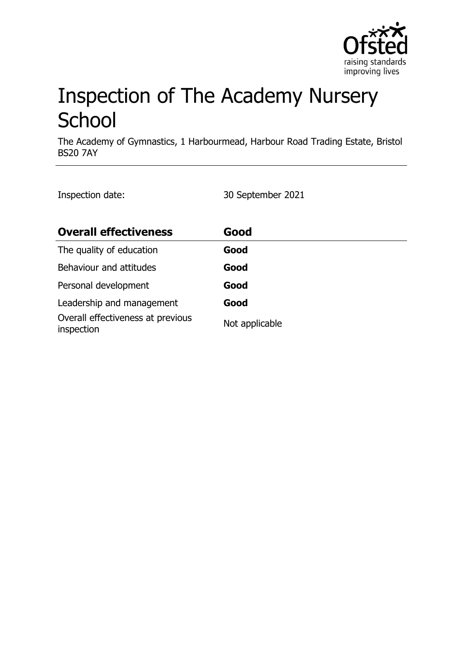

# Inspection of The Academy Nursery **School**

The Academy of Gymnastics, 1 Harbourmead, Harbour Road Trading Estate, Bristol BS20 7AY

Inspection date: 30 September 2021

| <b>Overall effectiveness</b>                    | Good           |
|-------------------------------------------------|----------------|
| The quality of education                        | Good           |
| Behaviour and attitudes                         | Good           |
| Personal development                            | Good           |
| Leadership and management                       | Good           |
| Overall effectiveness at previous<br>inspection | Not applicable |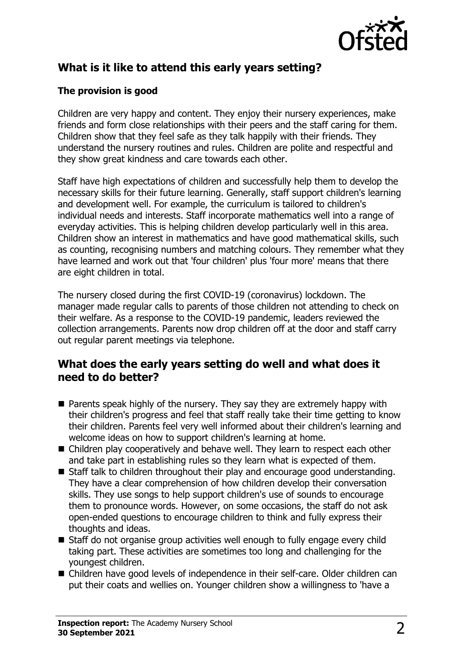

# **What is it like to attend this early years setting?**

## **The provision is good**

Children are very happy and content. They enjoy their nursery experiences, make friends and form close relationships with their peers and the staff caring for them. Children show that they feel safe as they talk happily with their friends. They understand the nursery routines and rules. Children are polite and respectful and they show great kindness and care towards each other.

Staff have high expectations of children and successfully help them to develop the necessary skills for their future learning. Generally, staff support children's learning and development well. For example, the curriculum is tailored to children's individual needs and interests. Staff incorporate mathematics well into a range of everyday activities. This is helping children develop particularly well in this area. Children show an interest in mathematics and have good mathematical skills, such as counting, recognising numbers and matching colours. They remember what they have learned and work out that 'four children' plus 'four more' means that there are eight children in total.

The nursery closed during the first COVID-19 (coronavirus) lockdown. The manager made regular calls to parents of those children not attending to check on their welfare. As a response to the COVID-19 pandemic, leaders reviewed the collection arrangements. Parents now drop children off at the door and staff carry out regular parent meetings via telephone.

## **What does the early years setting do well and what does it need to do better?**

- $\blacksquare$  Parents speak highly of the nursery. They say they are extremely happy with their children's progress and feel that staff really take their time getting to know their children. Parents feel very well informed about their children's learning and welcome ideas on how to support children's learning at home.
- $\blacksquare$  Children play cooperatively and behave well. They learn to respect each other and take part in establishing rules so they learn what is expected of them.
- $\blacksquare$  Staff talk to children throughout their play and encourage good understanding. They have a clear comprehension of how children develop their conversation skills. They use songs to help support children's use of sounds to encourage them to pronounce words. However, on some occasions, the staff do not ask open-ended questions to encourage children to think and fully express their thoughts and ideas.
- $\blacksquare$  Staff do not organise group activities well enough to fully engage every child taking part. These activities are sometimes too long and challenging for the youngest children.
- Children have good levels of independence in their self-care. Older children can put their coats and wellies on. Younger children show a willingness to 'have a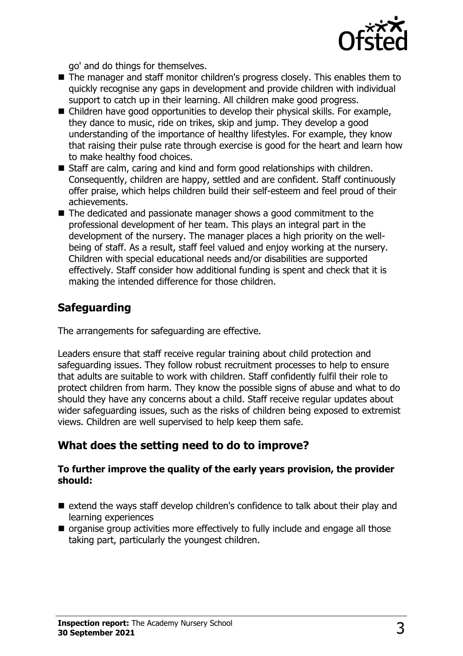

go' and do things for themselves.

- The manager and staff monitor children's progress closely. This enables them to quickly recognise any gaps in development and provide children with individual support to catch up in their learning. All children make good progress.
- $\blacksquare$  Children have good opportunities to develop their physical skills. For example, they dance to music, ride on trikes, skip and jump. They develop a good understanding of the importance of healthy lifestyles. For example, they know that raising their pulse rate through exercise is good for the heart and learn how to make healthy food choices.
- $\blacksquare$  Staff are calm, caring and kind and form good relationships with children. Consequently, children are happy, settled and are confident. Staff continuously offer praise, which helps children build their self-esteem and feel proud of their achievements.
- $\blacksquare$  The dedicated and passionate manager shows a good commitment to the professional development of her team. This plays an integral part in the development of the nursery. The manager places a high priority on the wellbeing of staff. As a result, staff feel valued and enjoy working at the nursery. Children with special educational needs and/or disabilities are supported effectively. Staff consider how additional funding is spent and check that it is making the intended difference for those children.

# **Safeguarding**

The arrangements for safeguarding are effective.

Leaders ensure that staff receive regular training about child protection and safeguarding issues. They follow robust recruitment processes to help to ensure that adults are suitable to work with children. Staff confidently fulfil their role to protect children from harm. They know the possible signs of abuse and what to do should they have any concerns about a child. Staff receive regular updates about wider safeguarding issues, such as the risks of children being exposed to extremist views. Children are well supervised to help keep them safe.

# **What does the setting need to do to improve?**

#### **To further improve the quality of the early years provision, the provider should:**

- $\blacksquare$  extend the ways staff develop children's confidence to talk about their play and learning experiences
- $\blacksquare$  organise group activities more effectively to fully include and engage all those taking part, particularly the youngest children.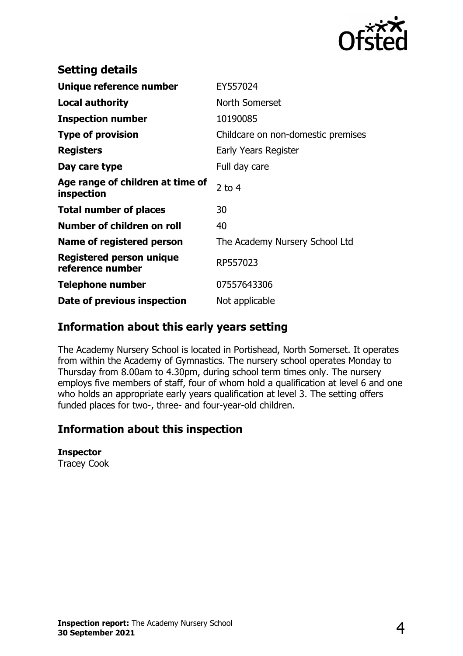

| <b>Setting details</b>                         |                                    |
|------------------------------------------------|------------------------------------|
| Unique reference number                        | EY557024                           |
| Local authority                                | North Somerset                     |
| <b>Inspection number</b>                       | 10190085                           |
| <b>Type of provision</b>                       | Childcare on non-domestic premises |
| <b>Registers</b>                               | Early Years Register               |
| Day care type                                  | Full day care                      |
| Age range of children at time of<br>inspection | $2$ to 4                           |
| <b>Total number of places</b>                  | 30                                 |
| Number of children on roll                     | 40                                 |
| Name of registered person                      | The Academy Nursery School Ltd     |
| Registered person unique<br>reference number   | RP557023                           |
| <b>Telephone number</b>                        | 07557643306                        |
| Date of previous inspection                    | Not applicable                     |

## **Information about this early years setting**

The Academy Nursery School is located in Portishead, North Somerset. It operates from within the Academy of Gymnastics. The nursery school operates Monday to Thursday from 8.00am to 4.30pm, during school term times only. The nursery employs five members of staff, four of whom hold a qualification at level 6 and one who holds an appropriate early years qualification at level 3. The setting offers funded places for two-, three- and four-year-old children.

## **Information about this inspection**

#### **Inspector**

Tracey Cook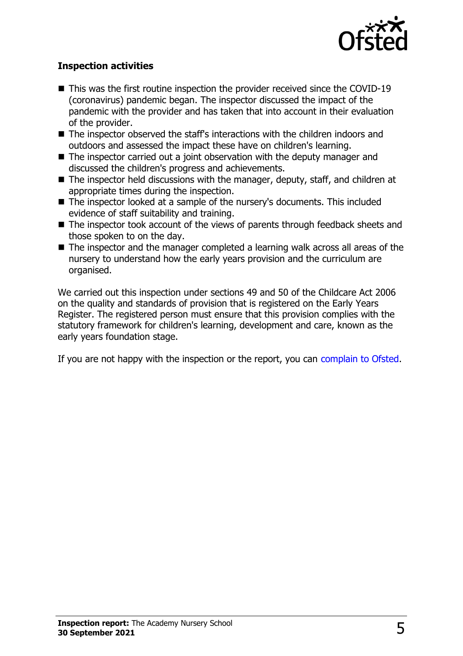

### **Inspection activities**

- $\blacksquare$  This was the first routine inspection the provider received since the COVID-19 (coronavirus) pandemic began. The inspector discussed the impact of the pandemic with the provider and has taken that into account in their evaluation of the provider.
- $\blacksquare$  The inspector observed the staff's interactions with the children indoors and outdoors and assessed the impact these have on children's learning.
- $\blacksquare$  The inspector carried out a joint observation with the deputy manager and discussed the children's progress and achievements.
- $\blacksquare$  The inspector held discussions with the manager, deputy, staff, and children at appropriate times during the inspection.
- The inspector looked at a sample of the nursery's documents. This included evidence of staff suitability and training.
- $\blacksquare$  The inspector took account of the views of parents through feedback sheets and those spoken to on the day.
- $\blacksquare$  The inspector and the manager completed a learning walk across all areas of the nursery to understand how the early years provision and the curriculum are organised.

We carried out this inspection under sections 49 and 50 of the Childcare Act 2006 on the quality and standards of provision that is registered on the Early Years Register. The registered person must ensure that this provision complies with the statutory framework for children's learning, development and care, known as the early years foundation stage.

If you are not happy with the inspection or the report, you can [complain to Ofsted](http://www.gov.uk/complain-ofsted-report).